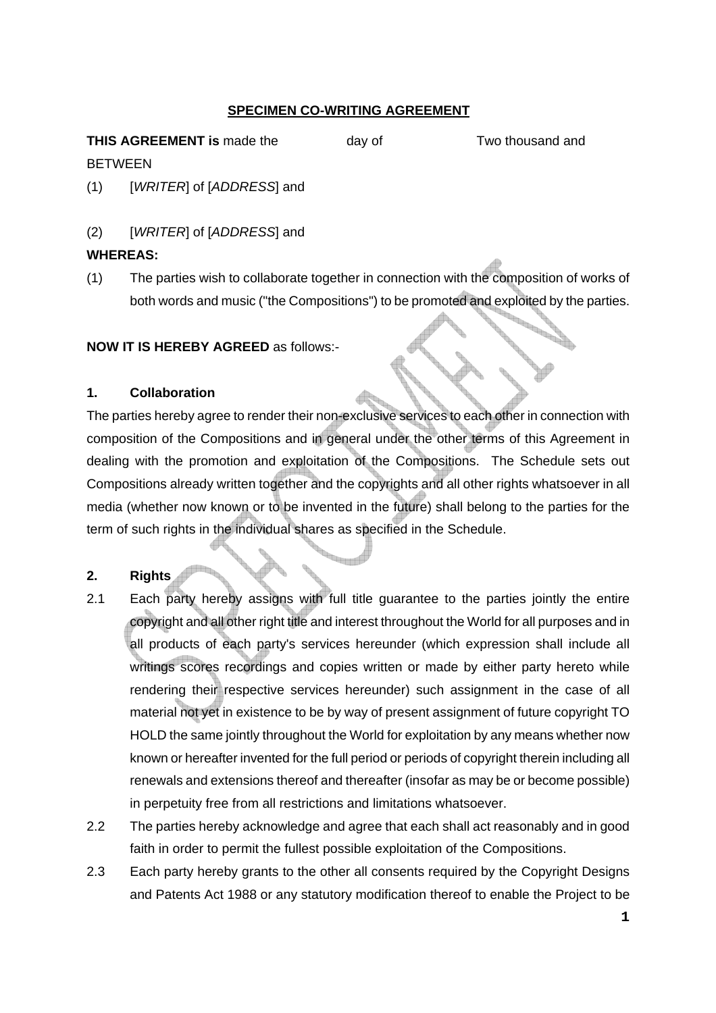## **SPECIMEN CO-WRITING AGREEMENT**

**THIS AGREEMENT is** made the day of Two thousand and

(1) [*WRITER*] of [*ADDRESS*] and

# (2) [*WRITER*] of [*ADDRESS*] and

## **WHEREAS:**

**BETWEEN** 

(1) The parties wish to collaborate together in connection with the composition of works of both words and music ("the Compositions") to be promoted and exploited by the parties.

**NOW IT IS HEREBY AGREED** as follows:-

## **1. Collaboration**

The parties hereby agree to render their non-exclusive services to each other in connection with composition of the Compositions and in general under the other terms of this Agreement in dealing with the promotion and exploitation of the Compositions. The Schedule sets out Compositions already written together and the copyrights and all other rights whatsoever in all media (whether now known or to be invented in the future) shall belong to the parties for the term of such rights in the individual shares as specified in the Schedule.

# **2. Rights**

- 2.1 Each party hereby assigns with full title guarantee to the parties jointly the entire copyright and all other right title and interest throughout the World for all purposes and in all products of each party's services hereunder (which expression shall include all writings scores recordings and copies written or made by either party hereto while rendering their respective services hereunder) such assignment in the case of all material not yet in existence to be by way of present assignment of future copyright TO HOLD the same jointly throughout the World for exploitation by any means whether now known or hereafter invented for the full period or periods of copyright therein including all renewals and extensions thereof and thereafter (insofar as may be or become possible) in perpetuity free from all restrictions and limitations whatsoever.
- 2.2 The parties hereby acknowledge and agree that each shall act reasonably and in good faith in order to permit the fullest possible exploitation of the Compositions.
- 2.3 Each party hereby grants to the other all consents required by the Copyright Designs and Patents Act 1988 or any statutory modification thereof to enable the Project to be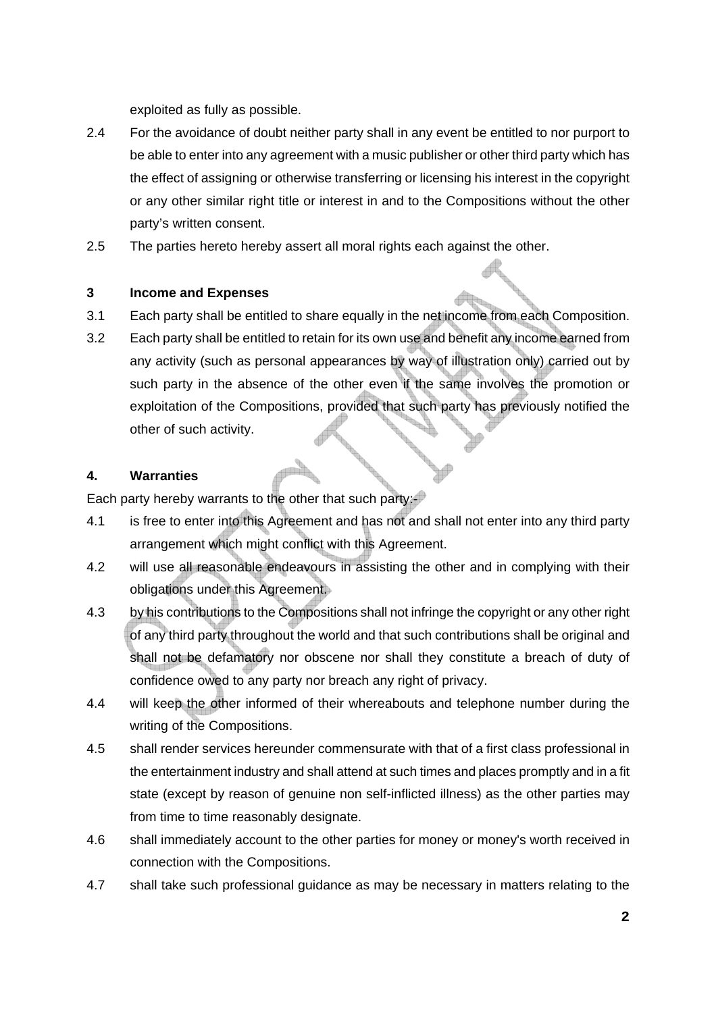exploited as fully as possible.

- 2.4 For the avoidance of doubt neither party shall in any event be entitled to nor purport to be able to enter into any agreement with a music publisher or other third party which has the effect of assigning or otherwise transferring or licensing his interest in the copyright or any other similar right title or interest in and to the Compositions without the other party's written consent.
- 2.5 The parties hereto hereby assert all moral rights each against the other.

### **3 Income and Expenses**

- 3.1 Each party shall be entitled to share equally in the net income from each Composition.
- 3.2 Each party shall be entitled to retain for its own use and benefit any income earned from any activity (such as personal appearances by way of illustration only) carried out by such party in the absence of the other even if the same involves the promotion or exploitation of the Compositions, provided that such party has previously notified the other of such activity.

#### **4. Warranties**

Each party hereby warrants to the other that such party:

- 4.1 is free to enter into this Agreement and has not and shall not enter into any third party arrangement which might conflict with this Agreement.
- 4.2 will use all reasonable endeavours in assisting the other and in complying with their obligations under this Agreement.
- 4.3 by his contributions to the Compositions shall not infringe the copyright or any other right of any third party throughout the world and that such contributions shall be original and shall not be defamatory nor obscene nor shall they constitute a breach of duty of confidence owed to any party nor breach any right of privacy.
- 4.4 will keep the other informed of their whereabouts and telephone number during the writing of the Compositions.
- 4.5 shall render services hereunder commensurate with that of a first class professional in the entertainment industry and shall attend at such times and places promptly and in a fit state (except by reason of genuine non self-inflicted illness) as the other parties may from time to time reasonably designate.
- 4.6 shall immediately account to the other parties for money or money's worth received in connection with the Compositions.
- 4.7 shall take such professional guidance as may be necessary in matters relating to the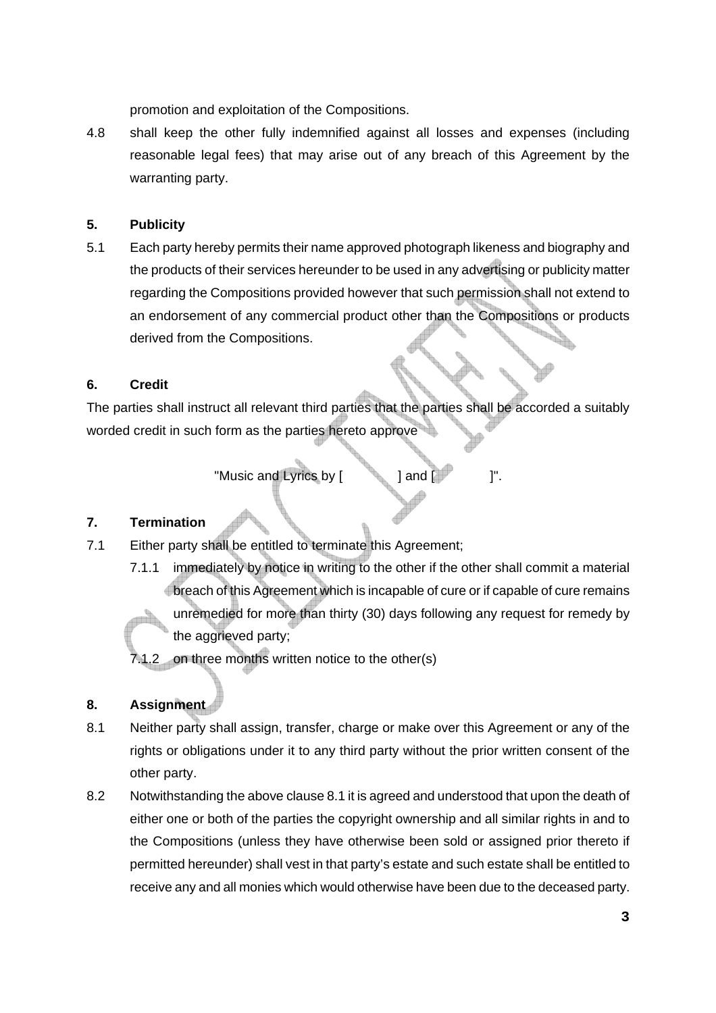promotion and exploitation of the Compositions.

4.8 shall keep the other fully indemnified against all losses and expenses (including reasonable legal fees) that may arise out of any breach of this Agreement by the warranting party.

#### **5. Publicity**

5.1 Each party hereby permits their name approved photograph likeness and biography and the products of their services hereunder to be used in any advertising or publicity matter regarding the Compositions provided however that such permission shall not extend to an endorsement of any commercial product other than the Compositions or products derived from the Compositions.

#### **6. Credit**

The parties shall instruct all relevant third parties that the parties shall be accorded a suitably worded credit in such form as the parties hereto approve

"Music and Lyrics by [  $\qquad$  ] and  $\qquad$  ]".

#### **7. Termination**

- 7.1 Either party shall be entitled to terminate this Agreement;
	- 7.1.1 immediately by notice in writing to the other if the other shall commit a material breach of this Agreement which is incapable of cure or if capable of cure remains unremedied for more than thirty (30) days following any request for remedy by the aggrieved party;

7.1.2 on three months written notice to the other(s)

### **8. Assignment**

- 8.1 Neither party shall assign, transfer, charge or make over this Agreement or any of the rights or obligations under it to any third party without the prior written consent of the other party.
- 8.2 Notwithstanding the above clause 8.1 it is agreed and understood that upon the death of either one or both of the parties the copyright ownership and all similar rights in and to the Compositions (unless they have otherwise been sold or assigned prior thereto if permitted hereunder) shall vest in that party's estate and such estate shall be entitled to receive any and all monies which would otherwise have been due to the deceased party.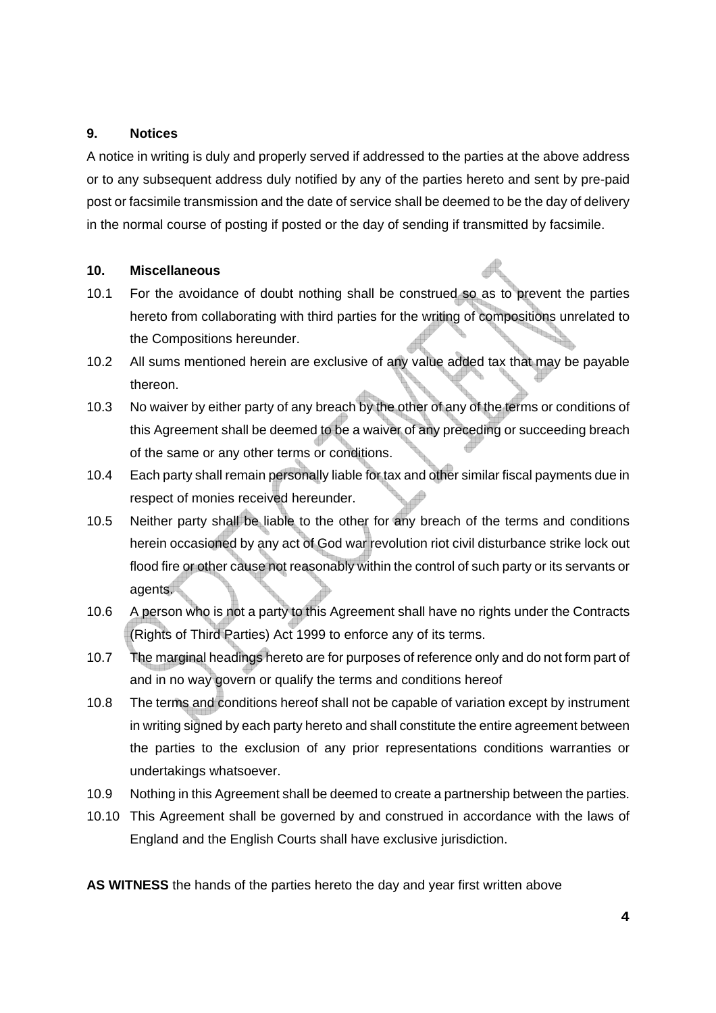#### **9. Notices**

A notice in writing is duly and properly served if addressed to the parties at the above address or to any subsequent address duly notified by any of the parties hereto and sent by pre-paid post or facsimile transmission and the date of service shall be deemed to be the day of delivery in the normal course of posting if posted or the day of sending if transmitted by facsimile.

#### **10. Miscellaneous**

- 10.1 For the avoidance of doubt nothing shall be construed so as to prevent the parties hereto from collaborating with third parties for the writing of compositions unrelated to the Compositions hereunder.
- 10.2 All sums mentioned herein are exclusive of any value added tax that may be payable thereon.
- 10.3 No waiver by either party of any breach by the other of any of the terms or conditions of this Agreement shall be deemed to be a waiver of any preceding or succeeding breach of the same or any other terms or conditions.
- 10.4 Each party shall remain personally liable for tax and other similar fiscal payments due in respect of monies received hereunder.
- 10.5 Neither party shall be liable to the other for any breach of the terms and conditions herein occasioned by any act of God war revolution riot civil disturbance strike lock out flood fire or other cause not reasonably within the control of such party or its servants or agents.
- 10.6 A person who is not a party to this Agreement shall have no rights under the Contracts (Rights of Third Parties) Act 1999 to enforce any of its terms.
- 10.7 The marginal headings hereto are for purposes of reference only and do not form part of and in no way govern or qualify the terms and conditions hereof
- 10.8 The terms and conditions hereof shall not be capable of variation except by instrument in writing signed by each party hereto and shall constitute the entire agreement between the parties to the exclusion of any prior representations conditions warranties or undertakings whatsoever.
- 10.9 Nothing in this Agreement shall be deemed to create a partnership between the parties.
- 10.10 This Agreement shall be governed by and construed in accordance with the laws of England and the English Courts shall have exclusive jurisdiction.

**AS WITNESS** the hands of the parties hereto the day and year first written above